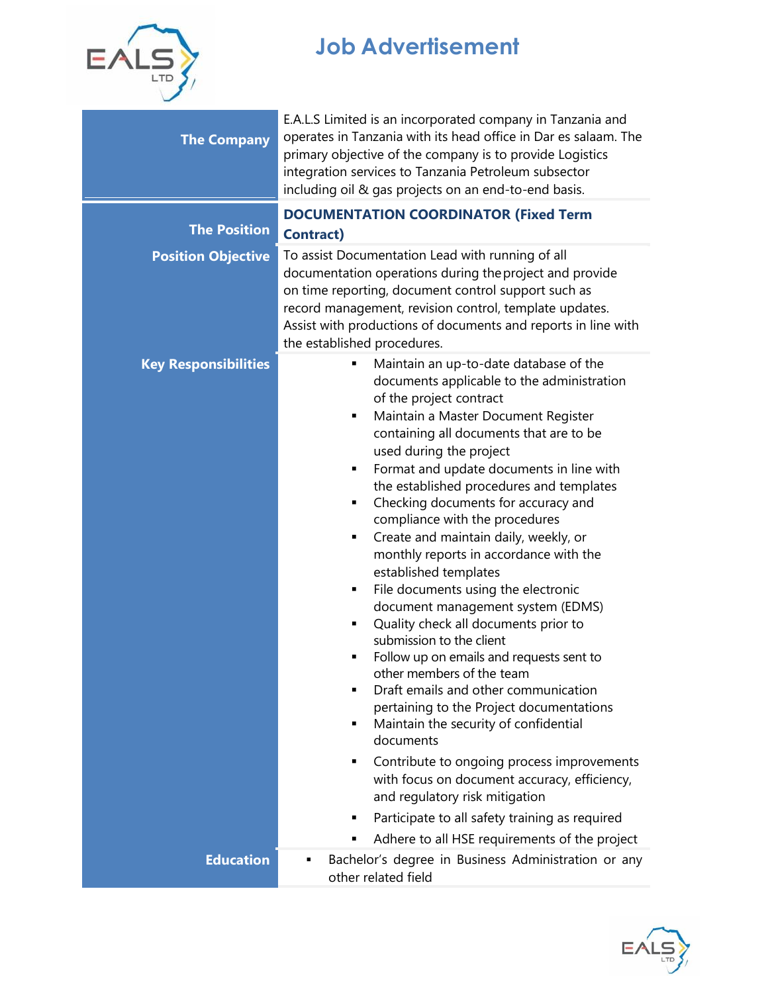

## **Job Advertisement**

| <b>The Company</b>          | E.A.L.S Limited is an incorporated company in Tanzania and<br>operates in Tanzania with its head office in Dar es salaam. The<br>primary objective of the company is to provide Logistics<br>integration services to Tanzania Petroleum subsector<br>including oil & gas projects on an end-to-end basis.                                                                                                                                                                                                                                                                                                                                                                                                                                                                                                                                                                                                                                                                                                                                                                                                                                                         |  |  |
|-----------------------------|-------------------------------------------------------------------------------------------------------------------------------------------------------------------------------------------------------------------------------------------------------------------------------------------------------------------------------------------------------------------------------------------------------------------------------------------------------------------------------------------------------------------------------------------------------------------------------------------------------------------------------------------------------------------------------------------------------------------------------------------------------------------------------------------------------------------------------------------------------------------------------------------------------------------------------------------------------------------------------------------------------------------------------------------------------------------------------------------------------------------------------------------------------------------|--|--|
| <b>The Position</b>         | <b>DOCUMENTATION COORDINATOR (Fixed Term</b><br><b>Contract)</b>                                                                                                                                                                                                                                                                                                                                                                                                                                                                                                                                                                                                                                                                                                                                                                                                                                                                                                                                                                                                                                                                                                  |  |  |
| <b>Position Objective</b>   | To assist Documentation Lead with running of all<br>documentation operations during the project and provide<br>on time reporting, document control support such as<br>record management, revision control, template updates.<br>Assist with productions of documents and reports in line with<br>the established procedures.                                                                                                                                                                                                                                                                                                                                                                                                                                                                                                                                                                                                                                                                                                                                                                                                                                      |  |  |
| <b>Key Responsibilities</b> | Maintain an up-to-date database of the<br>٠<br>documents applicable to the administration<br>of the project contract<br>Maintain a Master Document Register<br>٠<br>containing all documents that are to be<br>used during the project<br>Format and update documents in line with<br>٠<br>the established procedures and templates<br>Checking documents for accuracy and<br>٠<br>compliance with the procedures<br>Create and maintain daily, weekly, or<br>٠<br>monthly reports in accordance with the<br>established templates<br>File documents using the electronic<br>٠<br>document management system (EDMS)<br>Quality check all documents prior to<br>٠<br>submission to the client<br>Follow up on emails and requests sent to<br>other members of the team<br>Draft emails and other communication<br>pertaining to the Project documentations<br>Maintain the security of confidential<br>٠<br>documents<br>Contribute to ongoing process improvements<br>٠<br>with focus on document accuracy, efficiency,<br>and regulatory risk mitigation<br>Participate to all safety training as required<br>٠<br>Adhere to all HSE requirements of the project |  |  |
| <b>Education</b>            | Bachelor's degree in Business Administration or any<br>other related field                                                                                                                                                                                                                                                                                                                                                                                                                                                                                                                                                                                                                                                                                                                                                                                                                                                                                                                                                                                                                                                                                        |  |  |